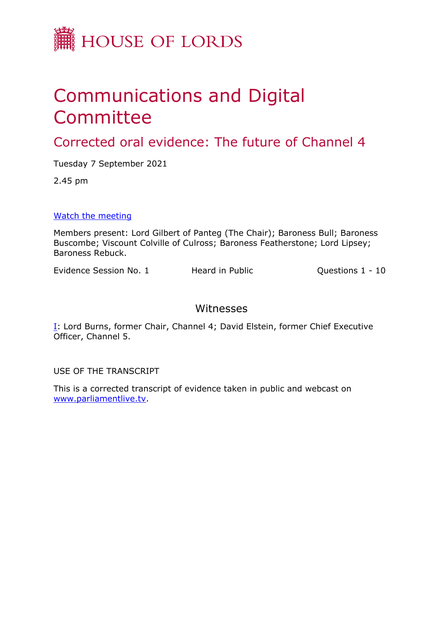

## Communications and Digital Committee

Corrected oral evidence: The future of Channel 4

Tuesday 7 September 2021

2.45 pm

[Watch](https://parliamentlive.tv/event/index/39ebcb5b-66c6-4efd-8085-e27b36847086) [the](https://parliamentlive.tv/event/index/39ebcb5b-66c6-4efd-8085-e27b36847086) [meeting](https://parliamentlive.tv/event/index/39ebcb5b-66c6-4efd-8085-e27b36847086)

Members present: Lord Gilbert of Panteg (The Chair); Baroness Bull; Baroness Buscombe; Viscount Colville of Culross; Baroness Featherstone; Lord Lipsey; Baroness Rebuck.

Evidence Session No. 1 Heard in Public Questions 1 - 10

## Witnesses

[I:](#page-1-0) Lord Burns, former Chair, Channel 4; David Elstein, former Chief Executive Officer, Channel 5.

USE OF THE TRANSCRIPT

This is a corrected transcript of evidence taken in public and webcast on [www.parliamentlive.tv](http://www.parliamentlive.tv/).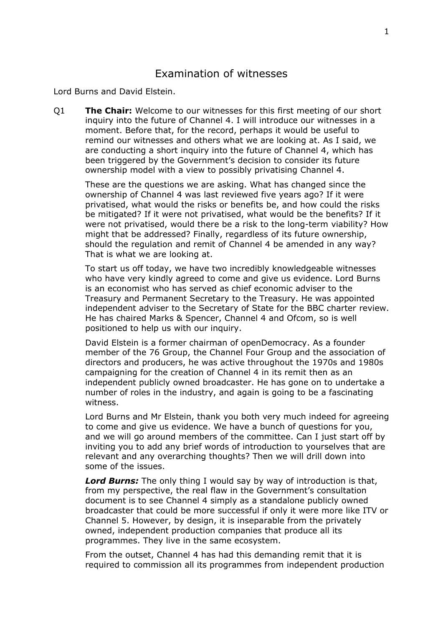## <span id="page-1-0"></span>Examination of witnesses

Lord Burns and David Elstein.

Q1 **The Chair:** Welcome to our witnesses for this first meeting of our short inquiry into the future of Channel 4. I will introduce our witnesses in a moment. Before that, for the record, perhaps it would be useful to remind our witnesses and others what we are looking at. As I said, we are conducting a short inquiry into the future of Channel 4, which has been triggered by the Government's decision to consider its future ownership model with a view to possibly privatising Channel 4.

These are the questions we are asking. What has changed since the ownership of Channel 4 was last reviewed five years ago? If it were privatised, what would the risks or benefits be, and how could the risks be mitigated? If it were not privatised, what would be the benefits? If it were not privatised, would there be a risk to the long-term viability? How might that be addressed? Finally, regardless of its future ownership, should the regulation and remit of Channel 4 be amended in any way? That is what we are looking at.

To start us off today, we have two incredibly knowledgeable witnesses who have very kindly agreed to come and give us evidence. Lord Burns is an economist who has served as chief economic adviser to the Treasury and Permanent Secretary to the Treasury. He was appointed independent adviser to the Secretary of State for the BBC charter review. He has chaired Marks & Spencer, Channel 4 and Ofcom, so is well positioned to help us with our inquiry.

David Elstein is a former chairman of openDemocracy. As a founder member of the 76 Group, the Channel Four Group and the association of directors and producers, he was active throughout the 1970s and 1980s campaigning for the creation of Channel 4 in its remit then as an independent publicly owned broadcaster. He has gone on to undertake a number of roles in the industry, and again is going to be a fascinating witness.

Lord Burns and Mr Elstein, thank you both very much indeed for agreeing to come and give us evidence. We have a bunch of questions for you, and we will go around members of the committee. Can I just start off by inviting you to add any brief words of introduction to yourselves that are relevant and any overarching thoughts? Then we will drill down into some of the issues.

*Lord Burns:* The only thing I would say by way of introduction is that, from my perspective, the real flaw in the Government's consultation document is to see Channel 4 simply as a standalone publicly owned broadcaster that could be more successful if only it were more like ITV or Channel 5. However, by design, it is inseparable from the privately owned, independent production companies that produce all its programmes. They live in the same ecosystem.

From the outset, Channel 4 has had this demanding remit that it is required to commission all its programmes from independent production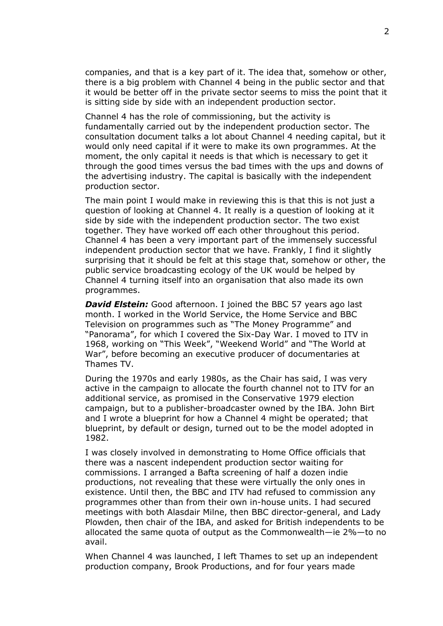companies, and that is a key part of it. The idea that, somehow or other, there is a big problem with Channel 4 being in the public sector and that it would be better off in the private sector seems to miss the point that it is sitting side by side with an independent production sector.

Channel 4 has the role of commissioning, but the activity is fundamentally carried out by the independent production sector. The consultation document talks a lot about Channel 4 needing capital, but it would only need capital if it were to make its own programmes. At the moment, the only capital it needs is that which is necessary to get it through the good times versus the bad times with the ups and downs of the advertising industry. The capital is basically with the independent production sector.

The main point I would make in reviewing this is that this is not just a question of looking at Channel 4. It really is a question of looking at it side by side with the independent production sector. The two exist together. They have worked off each other throughout this period. Channel 4 has been a very important part of the immensely successful independent production sector that we have. Frankly, I find it slightly surprising that it should be felt at this stage that, somehow or other, the public service broadcasting ecology of the UK would be helped by Channel 4 turning itself into an organisation that also made its own programmes.

**David Elstein:** Good afternoon. I joined the BBC 57 years ago last month. I worked in the World Service, the Home Service and BBC Television on programmes such as "The Money Programme" and "Panorama", for which I covered the Six-Day War. I moved to ITV in 1968, working on "This Week", "Weekend World" and "The World at War", before becoming an executive producer of documentaries at Thames TV.

During the 1970s and early 1980s, as the Chair has said, I was very active in the campaign to allocate the fourth channel not to ITV for an additional service, as promised in the Conservative 1979 election campaign, but to a publisher-broadcaster owned by the IBA. John Birt and I wrote a blueprint for how a Channel 4 might be operated; that blueprint, by default or design, turned out to be the model adopted in 1982.

I was closely involved in demonstrating to Home Office officials that there was a nascent independent production sector waiting for commissions. I arranged a Bafta screening of half a dozen indie productions, not revealing that these were virtually the only ones in existence. Until then, the BBC and ITV had refused to commission any programmes other than from their own in-house units. I had secured meetings with both Alasdair Milne, then BBC director-general, and Lady Plowden, then chair of the IBA, and asked for British independents to be allocated the same quota of output as the Commonwealth—ie 2%—to no avail.

When Channel 4 was launched, I left Thames to set up an independent production company, Brook Productions, and for four years made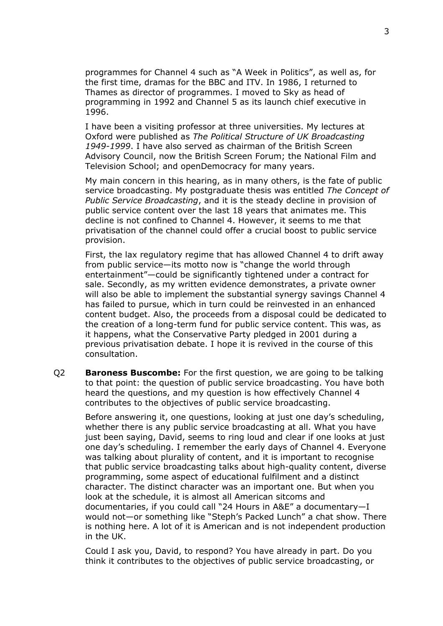programmes for Channel 4 such as "A Week in Politics", as well as, for the first time, dramas for the BBC and ITV. In 1986, I returned to Thames as director of programmes. I moved to Sky as head of programming in 1992 and Channel 5 as its launch chief executive in 1996.

I have been a visiting professor at three universities. My lectures at Oxford were published as *The Political Structure of UK Broadcasting 1949-1999*. I have also served as chairman of the British Screen Advisory Council, now the British Screen Forum; the National Film and Television School; and openDemocracy for many years.

My main concern in this hearing, as in many others, is the fate of public service broadcasting. My postgraduate thesis was entitled *The Concept of Public Service Broadcasting*, and it is the steady decline in provision of public service content over the last 18 years that animates me. This decline is not confined to Channel 4. However, it seems to me that privatisation of the channel could offer a crucial boost to public service provision.

First, the lax regulatory regime that has allowed Channel 4 to drift away from public service—its motto now is "change the world through entertainment"—could be significantly tightened under a contract for sale. Secondly, as my written evidence demonstrates, a private owner will also be able to implement the substantial synergy savings Channel 4 has failed to pursue, which in turn could be reinvested in an enhanced content budget. Also, the proceeds from a disposal could be dedicated to the creation of a long-term fund for public service content. This was, as it happens, what the Conservative Party pledged in 2001 during a previous privatisation debate. I hope it is revived in the course of this consultation.

Q2 **Baroness Buscombe:** For the first question, we are going to be talking to that point: the question of public service broadcasting. You have both heard the questions, and my question is how effectively Channel 4 contributes to the objectives of public service broadcasting.

Before answering it, one questions, looking at just one day's scheduling, whether there is any public service broadcasting at all. What you have just been saying, David, seems to ring loud and clear if one looks at just one day's scheduling. I remember the early days of Channel 4. Everyone was talking about plurality of content, and it is important to recognise that public service broadcasting talks about high-quality content, diverse programming, some aspect of educational fulfilment and a distinct character. The distinct character was an important one. But when you look at the schedule, it is almost all American sitcoms and documentaries, if you could call "24 Hours in A&E" a documentary—I would not—or something like "Steph's Packed Lunch" a chat show. There is nothing here. A lot of it is American and is not independent production in the UK.

Could I ask you, David, to respond? You have already in part. Do you think it contributes to the objectives of public service broadcasting, or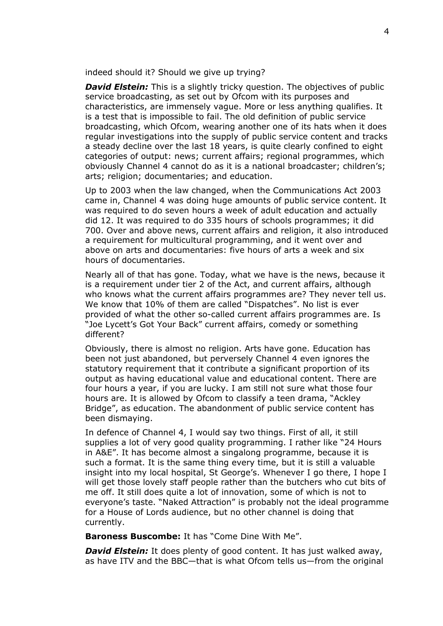indeed should it? Should we give up trying?

*David Elstein:* This is a slightly tricky question. The objectives of public service broadcasting, as set out by Ofcom with its purposes and characteristics, are immensely vague. More or less anything qualifies. It is a test that is impossible to fail. The old definition of public service broadcasting, which Ofcom, wearing another one of its hats when it does regular investigations into the supply of public service content and tracks a steady decline over the last 18 years, is quite clearly confined to eight categories of output: news; current affairs; regional programmes, which obviously Channel 4 cannot do as it is a national broadcaster; children's; arts; religion; documentaries; and education.

Up to 2003 when the law changed, when the Communications Act 2003 came in, Channel 4 was doing huge amounts of public service content. It was required to do seven hours a week of adult education and actually did 12. It was required to do 335 hours of schools programmes; it did 700. Over and above news, current affairs and religion, it also introduced a requirement for multicultural programming, and it went over and above on arts and documentaries: five hours of arts a week and six hours of documentaries.

Nearly all of that has gone. Today, what we have is the news, because it is a requirement under tier 2 of the Act, and current affairs, although who knows what the current affairs programmes are? They never tell us. We know that 10% of them are called "Dispatches". No list is ever provided of what the other so-called current affairs programmes are. Is "Joe Lycett's Got Your Back" current affairs, comedy or something different?

Obviously, there is almost no religion. Arts have gone. Education has been not just abandoned, but perversely Channel 4 even ignores the statutory requirement that it contribute a significant proportion of its output as having educational value and educational content. There are four hours a year, if you are lucky. I am still not sure what those four hours are. It is allowed by Ofcom to classify a teen drama, "Ackley Bridge", as education. The abandonment of public service content has been dismaying.

In defence of Channel 4, I would say two things. First of all, it still supplies a lot of very good quality programming. I rather like "24 Hours in A&E". It has become almost a singalong programme, because it is such a format. It is the same thing every time, but it is still a valuable insight into my local hospital, St George's. Whenever I go there, I hope I will get those lovely staff people rather than the butchers who cut bits of me off. It still does quite a lot of innovation, some of which is not to everyone's taste. "Naked Attraction" is probably not the ideal programme for a House of Lords audience, but no other channel is doing that currently.

**Baroness Buscombe:** It has "Come Dine With Me".

*David Elstein:* It does plenty of good content. It has just walked away, as have ITV and the BBC—that is what Ofcom tells us—from the original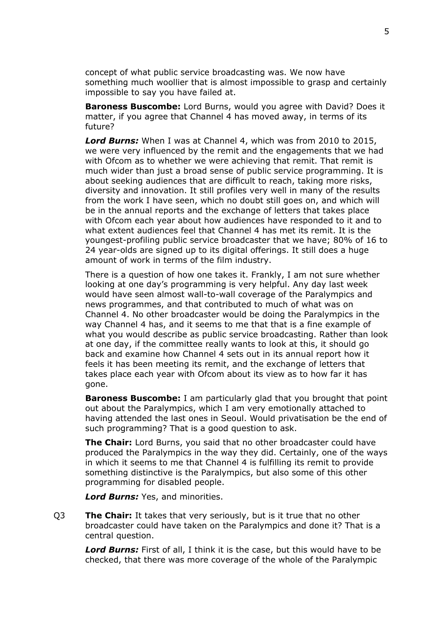concept of what public service broadcasting was. We now have something much woollier that is almost impossible to grasp and certainly impossible to say you have failed at.

**Baroness Buscombe:** Lord Burns, would you agree with David? Does it matter, if you agree that Channel 4 has moved away, in terms of its future?

*Lord Burns:* When I was at Channel 4, which was from 2010 to 2015, we were very influenced by the remit and the engagements that we had with Ofcom as to whether we were achieving that remit. That remit is much wider than just a broad sense of public service programming. It is about seeking audiences that are difficult to reach, taking more risks, diversity and innovation. It still profiles very well in many of the results from the work I have seen, which no doubt still goes on, and which will be in the annual reports and the exchange of letters that takes place with Ofcom each year about how audiences have responded to it and to what extent audiences feel that Channel 4 has met its remit. It is the youngest-profiling public service broadcaster that we have; 80% of 16 to 24 year-olds are signed up to its digital offerings. It still does a huge amount of work in terms of the film industry.

There is a question of how one takes it. Frankly, I am not sure whether looking at one day's programming is very helpful. Any day last week would have seen almost wall-to-wall coverage of the Paralympics and news programmes, and that contributed to much of what was on Channel 4. No other broadcaster would be doing the Paralympics in the way Channel 4 has, and it seems to me that that is a fine example of what you would describe as public service broadcasting. Rather than look at one day, if the committee really wants to look at this, it should go back and examine how Channel 4 sets out in its annual report how it feels it has been meeting its remit, and the exchange of letters that takes place each year with Ofcom about its view as to how far it has gone.

**Baroness Buscombe:** I am particularly glad that you brought that point out about the Paralympics, which I am very emotionally attached to having attended the last ones in Seoul. Would privatisation be the end of such programming? That is a good question to ask.

**The Chair:** Lord Burns, you said that no other broadcaster could have produced the Paralympics in the way they did. Certainly, one of the ways in which it seems to me that Channel 4 is fulfilling its remit to provide something distinctive is the Paralympics, but also some of this other programming for disabled people.

*Lord Burns:* Yes, and minorities.

Q3 **The Chair:** It takes that very seriously, but is it true that no other broadcaster could have taken on the Paralympics and done it? That is a central question.

*Lord Burns:* First of all, I think it is the case, but this would have to be checked, that there was more coverage of the whole of the Paralympic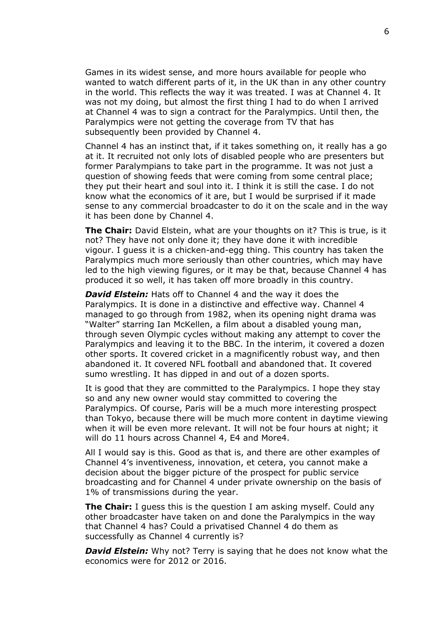Games in its widest sense, and more hours available for people who wanted to watch different parts of it, in the UK than in any other country in the world. This reflects the way it was treated. I was at Channel 4. It was not my doing, but almost the first thing I had to do when I arrived at Channel 4 was to sign a contract for the Paralympics. Until then, the Paralympics were not getting the coverage from TV that has subsequently been provided by Channel 4.

Channel 4 has an instinct that, if it takes something on, it really has a go at it. It recruited not only lots of disabled people who are presenters but former Paralympians to take part in the programme. It was not just a question of showing feeds that were coming from some central place; they put their heart and soul into it. I think it is still the case. I do not know what the economics of it are, but I would be surprised if it made sense to any commercial broadcaster to do it on the scale and in the way it has been done by Channel 4.

**The Chair:** David Elstein, what are your thoughts on it? This is true, is it not? They have not only done it; they have done it with incredible vigour. I guess it is a chicken-and-egg thing. This country has taken the Paralympics much more seriously than other countries, which may have led to the high viewing figures, or it may be that, because Channel 4 has produced it so well, it has taken off more broadly in this country.

*David Elstein:* Hats off to Channel 4 and the way it does the Paralympics. It is done in a distinctive and effective way. Channel 4 managed to go through from 1982, when its opening night drama was "Walter" starring Ian McKellen, a film about a disabled young man, through seven Olympic cycles without making any attempt to cover the Paralympics and leaving it to the BBC. In the interim, it covered a dozen other sports. It covered cricket in a magnificently robust way, and then abandoned it. It covered NFL football and abandoned that. It covered sumo wrestling. It has dipped in and out of a dozen sports.

It is good that they are committed to the Paralympics. I hope they stay so and any new owner would stay committed to covering the Paralympics. Of course, Paris will be a much more interesting prospect than Tokyo, because there will be much more content in daytime viewing when it will be even more relevant. It will not be four hours at night; it will do 11 hours across Channel 4, E4 and More4.

All I would say is this. Good as that is, and there are other examples of Channel 4's inventiveness, innovation, et cetera, you cannot make a decision about the bigger picture of the prospect for public service broadcasting and for Channel 4 under private ownership on the basis of 1% of transmissions during the year.

**The Chair:** I guess this is the question I am asking myself. Could any other broadcaster have taken on and done the Paralympics in the way that Channel 4 has? Could a privatised Channel 4 do them as successfully as Channel 4 currently is?

*David Elstein:* Why not? Terry is saying that he does not know what the economics were for 2012 or 2016.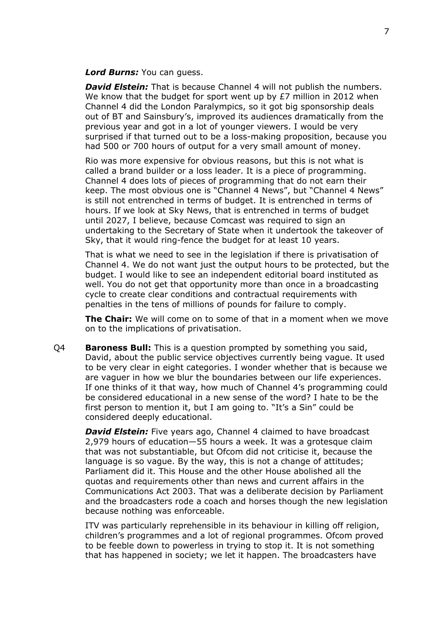## *Lord Burns:* You can guess.

*David Elstein:* That is because Channel 4 will not publish the numbers. We know that the budget for sport went up by  $E7$  million in 2012 when Channel 4 did the London Paralympics, so it got big sponsorship deals out of BT and Sainsbury's, improved its audiences dramatically from the previous year and got in a lot of younger viewers. I would be very surprised if that turned out to be a loss-making proposition, because you had 500 or 700 hours of output for a very small amount of money.

Rio was more expensive for obvious reasons, but this is not what is called a brand builder or a loss leader. It is a piece of programming. Channel 4 does lots of pieces of programming that do not earn their keep. The most obvious one is "Channel 4 News", but "Channel 4 News" is still not entrenched in terms of budget. It is entrenched in terms of hours. If we look at Sky News, that is entrenched in terms of budget until 2027, I believe, because Comcast was required to sign an undertaking to the Secretary of State when it undertook the takeover of Sky, that it would ring-fence the budget for at least 10 years.

That is what we need to see in the legislation if there is privatisation of Channel 4. We do not want just the output hours to be protected, but the budget. I would like to see an independent editorial board instituted as well. You do not get that opportunity more than once in a broadcasting cycle to create clear conditions and contractual requirements with penalties in the tens of millions of pounds for failure to comply.

**The Chair:** We will come on to some of that in a moment when we move on to the implications of privatisation.

Q4 **Baroness Bull:** This is a question prompted by something you said, David, about the public service objectives currently being vague. It used to be very clear in eight categories. I wonder whether that is because we are vaguer in how we blur the boundaries between our life experiences. If one thinks of it that way, how much of Channel 4's programming could be considered educational in a new sense of the word? I hate to be the first person to mention it, but I am going to. "It's a Sin" could be considered deeply educational.

*David Elstein:* Five years ago, Channel 4 claimed to have broadcast 2,979 hours of education—55 hours a week. It was a grotesque claim that was not substantiable, but Ofcom did not criticise it, because the language is so vague. By the way, this is not a change of attitudes; Parliament did it. This House and the other House abolished all the quotas and requirements other than news and current affairs in the Communications Act 2003. That was a deliberate decision by Parliament and the broadcasters rode a coach and horses though the new legislation because nothing was enforceable.

ITV was particularly reprehensible in its behaviour in killing off religion, children's programmes and a lot of regional programmes. Ofcom proved to be feeble down to powerless in trying to stop it. It is not something that has happened in society; we let it happen. The broadcasters have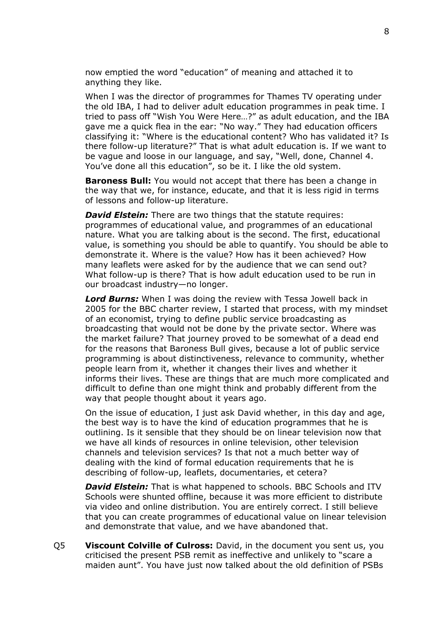now emptied the word "education" of meaning and attached it to anything they like.

When I was the director of programmes for Thames TV operating under the old IBA, I had to deliver adult education programmes in peak time. I tried to pass off "Wish You Were Here…?" as adult education, and the IBA gave me a quick flea in the ear: "No way." They had education officers classifying it: "Where is the educational content? Who has validated it? Is there follow-up literature?" That is what adult education is. If we want to be vague and loose in our language, and say, "Well, done, Channel 4. You've done all this education", so be it. I like the old system.

**Baroness Bull:** You would not accept that there has been a change in the way that we, for instance, educate, and that it is less rigid in terms of lessons and follow-up literature.

*David Elstein:* There are two things that the statute requires: programmes of educational value, and programmes of an educational nature. What you are talking about is the second. The first, educational value, is something you should be able to quantify. You should be able to demonstrate it. Where is the value? How has it been achieved? How many leaflets were asked for by the audience that we can send out? What follow-up is there? That is how adult education used to be run in our broadcast industry—no longer.

*Lord Burns:* When I was doing the review with Tessa Jowell back in 2005 for the BBC charter review, I started that process, with my mindset of an economist, trying to define public service broadcasting as broadcasting that would not be done by the private sector. Where was the market failure? That journey proved to be somewhat of a dead end for the reasons that Baroness Bull gives, because a lot of public service programming is about distinctiveness, relevance to community, whether people learn from it, whether it changes their lives and whether it informs their lives. These are things that are much more complicated and difficult to define than one might think and probably different from the way that people thought about it years ago.

On the issue of education, I just ask David whether, in this day and age, the best way is to have the kind of education programmes that he is outlining. Is it sensible that they should be on linear television now that we have all kinds of resources in online television, other television channels and television services? Is that not a much better way of dealing with the kind of formal education requirements that he is describing of follow-up, leaflets, documentaries, et cetera?

*David Elstein:* That is what happened to schools. BBC Schools and ITV Schools were shunted offline, because it was more efficient to distribute via video and online distribution. You are entirely correct. I still believe that you can create programmes of educational value on linear television and demonstrate that value, and we have abandoned that.

Q5 **Viscount Colville of Culross:** David, in the document you sent us, you criticised the present PSB remit as ineffective and unlikely to "scare a maiden aunt". You have just now talked about the old definition of PSBs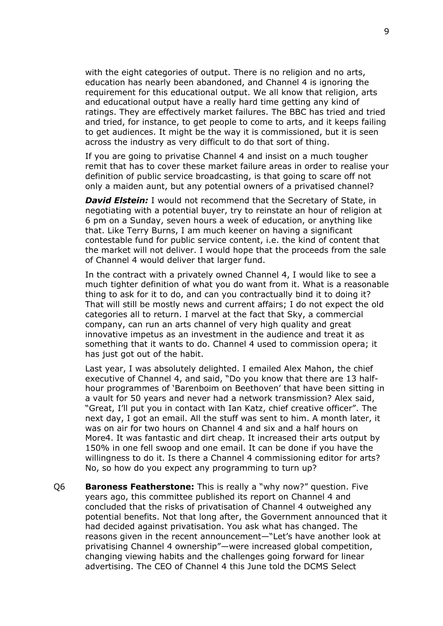with the eight categories of output. There is no religion and no arts, education has nearly been abandoned, and Channel 4 is ignoring the requirement for this educational output. We all know that religion, arts and educational output have a really hard time getting any kind of ratings. They are effectively market failures. The BBC has tried and tried and tried, for instance, to get people to come to arts, and it keeps failing to get audiences. It might be the way it is commissioned, but it is seen across the industry as very difficult to do that sort of thing.

If you are going to privatise Channel 4 and insist on a much tougher remit that has to cover these market failure areas in order to realise your definition of public service broadcasting, is that going to scare off not only a maiden aunt, but any potential owners of a privatised channel?

*David Elstein:* I would not recommend that the Secretary of State, in negotiating with a potential buyer, try to reinstate an hour of religion at 6 pm on a Sunday, seven hours a week of education, or anything like that. Like Terry Burns, I am much keener on having a significant contestable fund for public service content, i.e. the kind of content that the market will not deliver. I would hope that the proceeds from the sale of Channel 4 would deliver that larger fund.

In the contract with a privately owned Channel 4, I would like to see a much tighter definition of what you do want from it. What is a reasonable thing to ask for it to do, and can you contractually bind it to doing it? That will still be mostly news and current affairs; I do not expect the old categories all to return. I marvel at the fact that Sky, a commercial company, can run an arts channel of very high quality and great innovative impetus as an investment in the audience and treat it as something that it wants to do. Channel 4 used to commission opera; it has just got out of the habit.

Last year, I was absolutely delighted. I emailed Alex Mahon, the chief executive of Channel 4, and said, "Do you know that there are 13 halfhour programmes of 'Barenboim on Beethoven' that have been sitting in a vault for 50 years and never had a network transmission? Alex said, "Great, I'll put you in contact with Ian Katz, chief creative officer". The next day, I got an email. All the stuff was sent to him. A month later, it was on air for two hours on Channel 4 and six and a half hours on More4. It was fantastic and dirt cheap. It increased their arts output by 150% in one fell swoop and one email. It can be done if you have the willingness to do it. Is there a Channel 4 commissioning editor for arts? No, so how do you expect any programming to turn up?

Q6 **Baroness Featherstone:** This is really a "why now?" question. Five years ago, this committee published its report on Channel 4 and concluded that the risks of privatisation of Channel 4 outweighed any potential benefits. Not that long after, the Government announced that it had decided against privatisation. You ask what has changed. The reasons given in the recent announcement—"Let's have another look at privatising Channel 4 ownership"—were increased global competition, changing viewing habits and the challenges going forward for linear advertising. The CEO of Channel 4 this June told the DCMS Select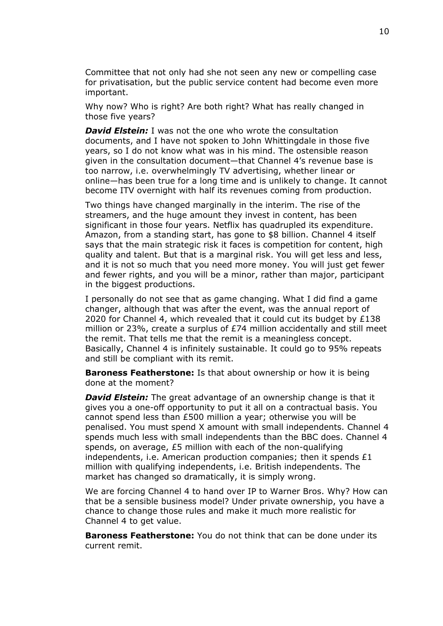Committee that not only had she not seen any new or compelling case for privatisation, but the public service content had become even more important.

Why now? Who is right? Are both right? What has really changed in those five years?

*David Elstein:* I was not the one who wrote the consultation documents, and I have not spoken to John Whittingdale in those five years, so I do not know what was in his mind. The ostensible reason given in the consultation document—that Channel 4's revenue base is too narrow, i.e. overwhelmingly TV advertising, whether linear or online—has been true for a long time and is unlikely to change. It cannot become ITV overnight with half its revenues coming from production.

Two things have changed marginally in the interim. The rise of the streamers, and the huge amount they invest in content, has been significant in those four years. Netflix has quadrupled its expenditure. Amazon, from a standing start, has gone to \$8 billion. Channel 4 itself says that the main strategic risk it faces is competition for content, high quality and talent. But that is a marginal risk. You will get less and less, and it is not so much that you need more money. You will just get fewer and fewer rights, and you will be a minor, rather than major, participant in the biggest productions.

I personally do not see that as game changing. What I did find a game changer, although that was after the event, was the annual report of 2020 for Channel 4, which revealed that it could cut its budget by £138 million or 23%, create a surplus of £74 million accidentally and still meet the remit. That tells me that the remit is a meaningless concept. Basically, Channel 4 is infinitely sustainable. It could go to 95% repeats and still be compliant with its remit.

**Baroness Featherstone:** Is that about ownership or how it is being done at the moment?

*David Elstein:* The great advantage of an ownership change is that it gives you a one-off opportunity to put it all on a contractual basis. You cannot spend less than £500 million a year; otherwise you will be penalised. You must spend X amount with small independents. Channel 4 spends much less with small independents than the BBC does. Channel 4 spends, on average, £5 million with each of the non-qualifying independents, i.e. American production companies; then it spends  $£1$ million with qualifying independents, i.e. British independents. The market has changed so dramatically, it is simply wrong.

We are forcing Channel 4 to hand over IP to Warner Bros. Why? How can that be a sensible business model? Under private ownership, you have a chance to change those rules and make it much more realistic for Channel 4 to get value.

**Baroness Featherstone:** You do not think that can be done under its current remit.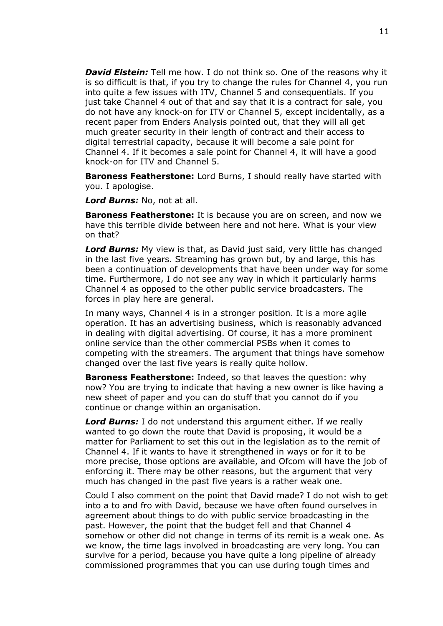*David Elstein:* Tell me how. I do not think so. One of the reasons why it is so difficult is that, if you try to change the rules for Channel 4, you run into quite a few issues with ITV, Channel 5 and consequentials. If you just take Channel 4 out of that and say that it is a contract for sale, you do not have any knock-on for ITV or Channel 5, except incidentally, as a recent paper from Enders Analysis pointed out, that they will all get much greater security in their length of contract and their access to digital terrestrial capacity, because it will become a sale point for Channel 4. If it becomes a sale point for Channel 4, it will have a good knock-on for ITV and Channel 5.

**Baroness Featherstone:** Lord Burns, I should really have started with you. I apologise.

*Lord Burns:* No, not at all.

**Baroness Featherstone:** It is because you are on screen, and now we have this terrible divide between here and not here. What is your view on that?

*Lord Burns:* My view is that, as David just said, very little has changed in the last five years. Streaming has grown but, by and large, this has been a continuation of developments that have been under way for some time. Furthermore, I do not see any way in which it particularly harms Channel 4 as opposed to the other public service broadcasters. The forces in play here are general.

In many ways, Channel 4 is in a stronger position. It is a more agile operation. It has an advertising business, which is reasonably advanced in dealing with digital advertising. Of course, it has a more prominent online service than the other commercial PSBs when it comes to competing with the streamers. The argument that things have somehow changed over the last five years is really quite hollow.

**Baroness Featherstone:** Indeed, so that leaves the question: why now? You are trying to indicate that having a new owner is like having a new sheet of paper and you can do stuff that you cannot do if you continue or change within an organisation.

*Lord Burns:* I do not understand this argument either. If we really wanted to go down the route that David is proposing, it would be a matter for Parliament to set this out in the legislation as to the remit of Channel 4. If it wants to have it strengthened in ways or for it to be more precise, those options are available, and Ofcom will have the job of enforcing it. There may be other reasons, but the argument that very much has changed in the past five years is a rather weak one.

Could I also comment on the point that David made? I do not wish to get into a to and fro with David, because we have often found ourselves in agreement about things to do with public service broadcasting in the past. However, the point that the budget fell and that Channel 4 somehow or other did not change in terms of its remit is a weak one. As we know, the time lags involved in broadcasting are very long. You can survive for a period, because you have quite a long pipeline of already commissioned programmes that you can use during tough times and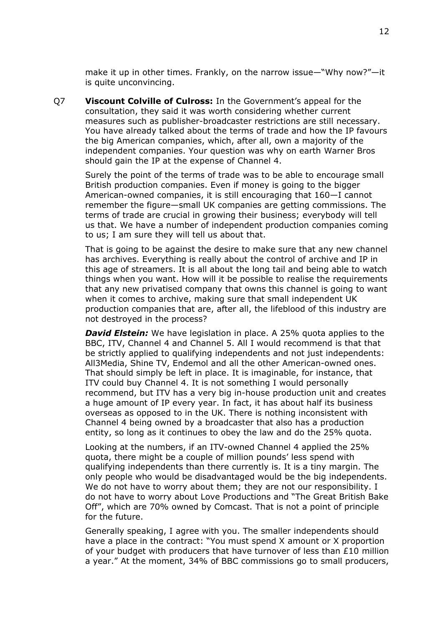make it up in other times. Frankly, on the narrow issue—"Why now?"—it is quite unconvincing.

Q7 **Viscount Colville of Culross:** In the Government's appeal for the consultation, they said it was worth considering whether current measures such as publisher-broadcaster restrictions are still necessary. You have already talked about the terms of trade and how the IP favours the big American companies, which, after all, own a majority of the independent companies. Your question was why on earth Warner Bros should gain the IP at the expense of Channel 4.

Surely the point of the terms of trade was to be able to encourage small British production companies. Even if money is going to the bigger American-owned companies, it is still encouraging that 160—I cannot remember the figure—small UK companies are getting commissions. The terms of trade are crucial in growing their business; everybody will tell us that. We have a number of independent production companies coming to us; I am sure they will tell us about that.

That is going to be against the desire to make sure that any new channel has archives. Everything is really about the control of archive and IP in this age of streamers. It is all about the long tail and being able to watch things when you want. How will it be possible to realise the requirements that any new privatised company that owns this channel is going to want when it comes to archive, making sure that small independent UK production companies that are, after all, the lifeblood of this industry are not destroyed in the process?

*David Elstein:* We have legislation in place. A 25% quota applies to the BBC, ITV, Channel 4 and Channel 5. All I would recommend is that that be strictly applied to qualifying independents and not just independents: All3Media, Shine TV, Endemol and all the other American-owned ones. That should simply be left in place. It is imaginable, for instance, that ITV could buy Channel 4. It is not something I would personally recommend, but ITV has a very big in-house production unit and creates a huge amount of IP every year. In fact, it has about half its business overseas as opposed to in the UK. There is nothing inconsistent with Channel 4 being owned by a broadcaster that also has a production entity, so long as it continues to obey the law and do the 25% quota.

Looking at the numbers, if an ITV-owned Channel 4 applied the 25% quota, there might be a couple of million pounds' less spend with qualifying independents than there currently is. It is a tiny margin. The only people who would be disadvantaged would be the big independents. We do not have to worry about them; they are not our responsibility. I do not have to worry about Love Productions and "The Great British Bake Off", which are 70% owned by Comcast. That is not a point of principle for the future.

Generally speaking, I agree with you. The smaller independents should have a place in the contract: "You must spend X amount or X proportion of your budget with producers that have turnover of less than  $£10$  million a year." At the moment, 34% of BBC commissions go to small producers,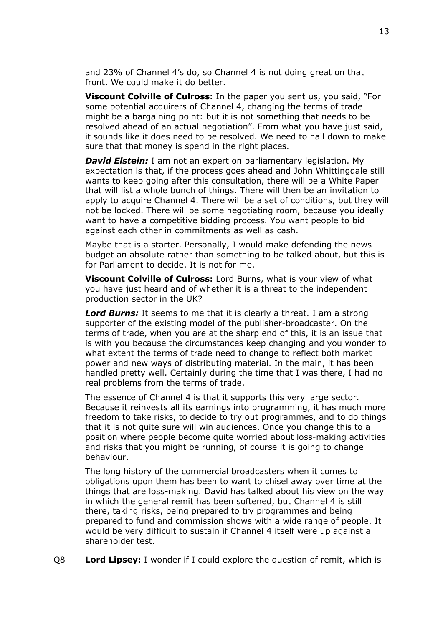and 23% of Channel 4's do, so Channel 4 is not doing great on that front. We could make it do better.

**Viscount Colville of Culross:** In the paper you sent us, you said, "For some potential acquirers of Channel 4, changing the terms of trade might be a bargaining point: but it is not something that needs to be resolved ahead of an actual negotiation". From what you have just said, it sounds like it does need to be resolved. We need to nail down to make sure that that money is spend in the right places.

*David Elstein:* I am not an expert on parliamentary legislation. My expectation is that, if the process goes ahead and John Whittingdale still wants to keep going after this consultation, there will be a White Paper that will list a whole bunch of things. There will then be an invitation to apply to acquire Channel 4. There will be a set of conditions, but they will not be locked. There will be some negotiating room, because you ideally want to have a competitive bidding process. You want people to bid against each other in commitments as well as cash.

Maybe that is a starter. Personally, I would make defending the news budget an absolute rather than something to be talked about, but this is for Parliament to decide. It is not for me.

**Viscount Colville of Culross:** Lord Burns, what is your view of what you have just heard and of whether it is a threat to the independent production sector in the UK?

*Lord Burns:* It seems to me that it is clearly a threat. I am a strong supporter of the existing model of the publisher-broadcaster. On the terms of trade, when you are at the sharp end of this, it is an issue that is with you because the circumstances keep changing and you wonder to what extent the terms of trade need to change to reflect both market power and new ways of distributing material. In the main, it has been handled pretty well. Certainly during the time that I was there, I had no real problems from the terms of trade.

The essence of Channel 4 is that it supports this very large sector. Because it reinvests all its earnings into programming, it has much more freedom to take risks, to decide to try out programmes, and to do things that it is not quite sure will win audiences. Once you change this to a position where people become quite worried about loss-making activities and risks that you might be running, of course it is going to change behaviour.

The long history of the commercial broadcasters when it comes to obligations upon them has been to want to chisel away over time at the things that are loss-making. David has talked about his view on the way in which the general remit has been softened, but Channel 4 is still there, taking risks, being prepared to try programmes and being prepared to fund and commission shows with a wide range of people. It would be very difficult to sustain if Channel 4 itself were up against a shareholder test.

Q8 **Lord Lipsey:** I wonder if I could explore the question of remit, which is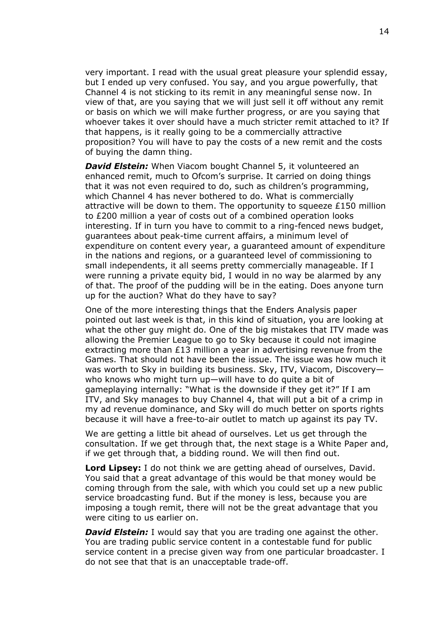very important. I read with the usual great pleasure your splendid essay, but I ended up very confused. You say, and you argue powerfully, that Channel 4 is not sticking to its remit in any meaningful sense now. In view of that, are you saying that we will just sell it off without any remit or basis on which we will make further progress, or are you saying that whoever takes it over should have a much stricter remit attached to it? If that happens, is it really going to be a commercially attractive proposition? You will have to pay the costs of a new remit and the costs of buying the damn thing.

*David Elstein:* When Viacom bought Channel 5, it volunteered an enhanced remit, much to Ofcom's surprise. It carried on doing things that it was not even required to do, such as children's programming, which Channel 4 has never bothered to do. What is commercially attractive will be down to them. The opportunity to squeeze  $£150$  million to £200 million a year of costs out of a combined operation looks interesting. If in turn you have to commit to a ring-fenced news budget, guarantees about peak-time current affairs, a minimum level of expenditure on content every year, a guaranteed amount of expenditure in the nations and regions, or a guaranteed level of commissioning to small independents, it all seems pretty commercially manageable. If I were running a private equity bid, I would in no way be alarmed by any of that. The proof of the pudding will be in the eating. Does anyone turn up for the auction? What do they have to say?

One of the more interesting things that the Enders Analysis paper pointed out last week is that, in this kind of situation, you are looking at what the other guy might do. One of the big mistakes that ITV made was allowing the Premier League to go to Sky because it could not imagine extracting more than  $E13$  million a year in advertising revenue from the Games. That should not have been the issue. The issue was how much it was worth to Sky in building its business. Sky, ITV, Viacom, Discovery who knows who might turn up—will have to do quite a bit of gameplaying internally: "What is the downside if they get it?" If I am ITV, and Sky manages to buy Channel 4, that will put a bit of a crimp in my ad revenue dominance, and Sky will do much better on sports rights because it will have a free-to-air outlet to match up against its pay TV.

We are getting a little bit ahead of ourselves. Let us get through the consultation. If we get through that, the next stage is a White Paper and, if we get through that, a bidding round. We will then find out.

**Lord Lipsey:** I do not think we are getting ahead of ourselves, David. You said that a great advantage of this would be that money would be coming through from the sale, with which you could set up a new public service broadcasting fund. But if the money is less, because you are imposing a tough remit, there will not be the great advantage that you were citing to us earlier on.

*David Elstein:* I would say that you are trading one against the other. You are trading public service content in a contestable fund for public service content in a precise given way from one particular broadcaster. I do not see that that is an unacceptable trade-off.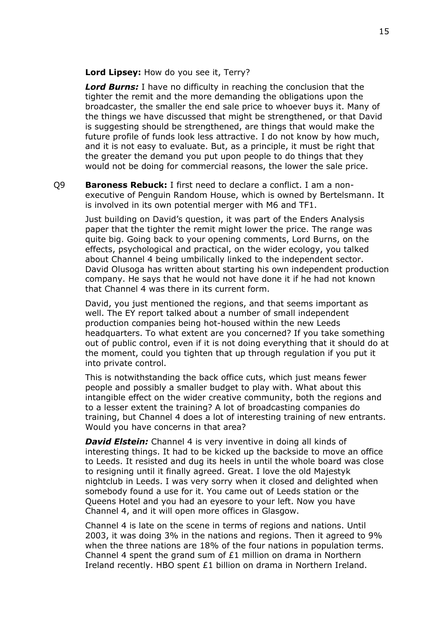**Lord Lipsey:** How do you see it, Terry?

*Lord Burns:* I have no difficulty in reaching the conclusion that the tighter the remit and the more demanding the obligations upon the broadcaster, the smaller the end sale price to whoever buys it. Many of the things we have discussed that might be strengthened, or that David is suggesting should be strengthened, are things that would make the future profile of funds look less attractive. I do not know by how much, and it is not easy to evaluate. But, as a principle, it must be right that the greater the demand you put upon people to do things that they would not be doing for commercial reasons, the lower the sale price.

Q9 **Baroness Rebuck:** I first need to declare a conflict. I am a nonexecutive of Penguin Random House, which is owned by Bertelsmann. It is involved in its own potential merger with M6 and TF1.

Just building on David's question, it was part of the Enders Analysis paper that the tighter the remit might lower the price. The range was quite big. Going back to your opening comments, Lord Burns, on the effects, psychological and practical, on the wider ecology, you talked about Channel 4 being umbilically linked to the independent sector. David Olusoga has written about starting his own independent production company. He says that he would not have done it if he had not known that Channel 4 was there in its current form.

David, you just mentioned the regions, and that seems important as well. The EY report talked about a number of small independent production companies being hot-housed within the new Leeds headquarters. To what extent are you concerned? If you take something out of public control, even if it is not doing everything that it should do at the moment, could you tighten that up through regulation if you put it into private control.

This is notwithstanding the back office cuts, which just means fewer people and possibly a smaller budget to play with. What about this intangible effect on the wider creative community, both the regions and to a lesser extent the training? A lot of broadcasting companies do training, but Channel 4 does a lot of interesting training of new entrants. Would you have concerns in that area?

*David Elstein:* Channel 4 is very inventive in doing all kinds of interesting things. It had to be kicked up the backside to move an office to Leeds. It resisted and dug its heels in until the whole board was close to resigning until it finally agreed. Great. I love the old Majestyk nightclub in Leeds. I was very sorry when it closed and delighted when somebody found a use for it. You came out of Leeds station or the Queens Hotel and you had an eyesore to your left. Now you have Channel 4, and it will open more offices in Glasgow.

Channel 4 is late on the scene in terms of regions and nations. Until 2003, it was doing 3% in the nations and regions. Then it agreed to 9% when the three nations are 18% of the four nations in population terms. Channel 4 spent the grand sum of £1 million on drama in Northern Ireland recently. HBO spent £1 billion on drama in Northern Ireland.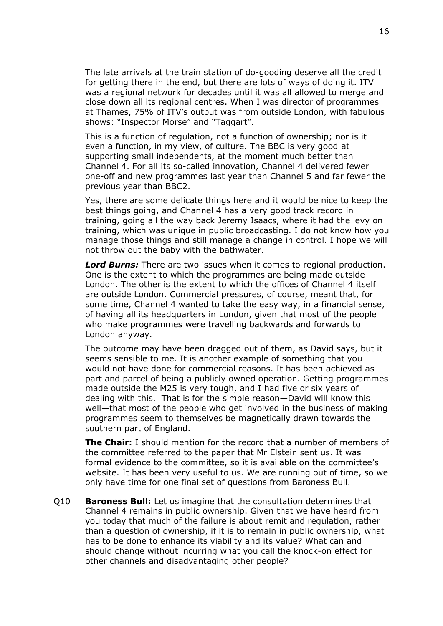The late arrivals at the train station of do-gooding deserve all the credit for getting there in the end, but there are lots of ways of doing it. ITV was a regional network for decades until it was all allowed to merge and close down all its regional centres. When I was director of programmes at Thames, 75% of ITV's output was from outside London, with fabulous shows: "Inspector Morse" and "Taggart".

This is a function of regulation, not a function of ownership; nor is it even a function, in my view, of culture. The BBC is very good at supporting small independents, at the moment much better than Channel 4. For all its so-called innovation, Channel 4 delivered fewer one-off and new programmes last year than Channel 5 and far fewer the previous year than BBC2.

Yes, there are some delicate things here and it would be nice to keep the best things going, and Channel 4 has a very good track record in training, going all the way back Jeremy Isaacs, where it had the levy on training, which was unique in public broadcasting. I do not know how you manage those things and still manage a change in control. I hope we will not throw out the baby with the bathwater.

*Lord Burns:* There are two issues when it comes to regional production. One is the extent to which the programmes are being made outside London. The other is the extent to which the offices of Channel 4 itself are outside London. Commercial pressures, of course, meant that, for some time, Channel 4 wanted to take the easy way, in a financial sense, of having all its headquarters in London, given that most of the people who make programmes were travelling backwards and forwards to London anyway.

The outcome may have been dragged out of them, as David says, but it seems sensible to me. It is another example of something that you would not have done for commercial reasons. It has been achieved as part and parcel of being a publicly owned operation. Getting programmes made outside the M25 is very tough, and I had five or six years of dealing with this. That is for the simple reason—David will know this well—that most of the people who get involved in the business of making programmes seem to themselves be magnetically drawn towards the southern part of England.

**The Chair:** I should mention for the record that a number of members of the committee referred to the paper that Mr Elstein sent us. It was formal evidence to the committee, so it is available on the committee's website. It has been very useful to us. We are running out of time, so we only have time for one final set of questions from Baroness Bull.

Q10 **Baroness Bull:** Let us imagine that the consultation determines that Channel 4 remains in public ownership. Given that we have heard from you today that much of the failure is about remit and regulation, rather than a question of ownership, if it is to remain in public ownership, what has to be done to enhance its viability and its value? What can and should change without incurring what you call the knock-on effect for other channels and disadvantaging other people?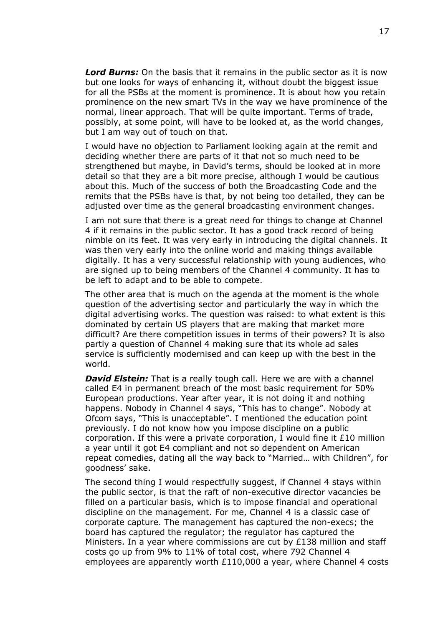*Lord Burns:* On the basis that it remains in the public sector as it is now but one looks for ways of enhancing it, without doubt the biggest issue for all the PSBs at the moment is prominence. It is about how you retain prominence on the new smart TVs in the way we have prominence of the normal, linear approach. That will be quite important. Terms of trade, possibly, at some point, will have to be looked at, as the world changes, but I am way out of touch on that.

I would have no objection to Parliament looking again at the remit and deciding whether there are parts of it that not so much need to be strengthened but maybe, in David's terms, should be looked at in more detail so that they are a bit more precise, although I would be cautious about this. Much of the success of both the Broadcasting Code and the remits that the PSBs have is that, by not being too detailed, they can be adjusted over time as the general broadcasting environment changes.

I am not sure that there is a great need for things to change at Channel 4 if it remains in the public sector. It has a good track record of being nimble on its feet. It was very early in introducing the digital channels. It was then very early into the online world and making things available digitally. It has a very successful relationship with young audiences, who are signed up to being members of the Channel 4 community. It has to be left to adapt and to be able to compete.

The other area that is much on the agenda at the moment is the whole question of the advertising sector and particularly the way in which the digital advertising works. The question was raised: to what extent is this dominated by certain US players that are making that market more difficult? Are there competition issues in terms of their powers? It is also partly a question of Channel 4 making sure that its whole ad sales service is sufficiently modernised and can keep up with the best in the world.

*David Elstein:* That is a really tough call. Here we are with a channel called E4 in permanent breach of the most basic requirement for 50% European productions. Year after year, it is not doing it and nothing happens. Nobody in Channel 4 says, "This has to change". Nobody at Ofcom says, "This is unacceptable". I mentioned the education point previously. I do not know how you impose discipline on a public corporation. If this were a private corporation, I would fine it £10 million a year until it got E4 compliant and not so dependent on American repeat comedies, dating all the way back to "Married… with Children", for goodness' sake.

The second thing I would respectfully suggest, if Channel 4 stays within the public sector, is that the raft of non-executive director vacancies be filled on a particular basis, which is to impose financial and operational discipline on the management. For me, Channel 4 is a classic case of corporate capture. The management has captured the non-execs; the board has captured the regulator; the regulator has captured the Ministers. In a year where commissions are cut by  $£138$  million and staff costs go up from 9% to 11% of total cost, where 792 Channel 4 employees are apparently worth £110,000 a year, where Channel 4 costs